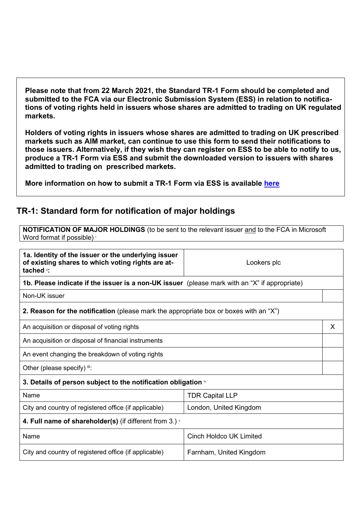**Please note that from 22 March 2021, the Standard TR-1 Form should be completed and submitted to the FCA via our Electronic Submission System (ESS) in relation to notifications of voting rights held in issuers whose shares are admitted to trading on UK regulated markets.**

**Holders of voting rights in issuers whose shares are admitted to trading on UK prescribed markets such as AIM market, can continue to use this form to send their notifications to those issuers. Alternatively, if they wish they can register on ESS to be able to notify to us, produce a TR-1 Form via ESS and submit the downloaded version to issuers with shares admitted to trading on prescribed markets.**

**More information on how to submit a TR-1 Form via ESS is available [here](https://www.fca.org.uk/markets/primary-markets/regulatory-disclosures/shareholding-notification-disclosure)**

## **TR-1: Standard form for notification of major holdings**

**NOTIFICATION OF MAJOR HOLDINGS** (to be sent to the relevant issuer and to the FCA in Microsoft Word format if possible) i

| 1a. Identity of the issuer or the underlying issuer<br>of existing shares to which voting rights are at-<br>tached i: | Lookers plc             |   |
|-----------------------------------------------------------------------------------------------------------------------|-------------------------|---|
| 1b. Please indicate if the issuer is a non-UK issuer (please mark with an "X" if appropriate)                         |                         |   |
| Non-UK issuer                                                                                                         |                         |   |
| <b>2. Reason for the notification</b> (please mark the appropriate box or boxes with an "X")                          |                         |   |
| An acquisition or disposal of voting rights                                                                           |                         | X |
| An acquisition or disposal of financial instruments                                                                   |                         |   |
| An event changing the breakdown of voting rights                                                                      |                         |   |
| Other (please specify) iii:                                                                                           |                         |   |
| 3. Details of person subject to the notification obligation $\mathbf{v}$                                              |                         |   |
| Name                                                                                                                  | <b>TDR Capital LLP</b>  |   |
| City and country of registered office (if applicable)<br>London, United Kingdom                                       |                         |   |
| 4. Full name of shareholder(s) (if different from 3.) $\cdot$                                                         |                         |   |
| Name                                                                                                                  | Cinch Holdco UK Limited |   |
| City and country of registered office (if applicable)                                                                 | Farnham, United Kingdom |   |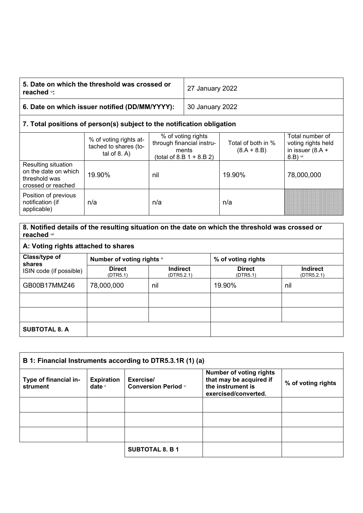| 5. Date on which the threshold was crossed or<br>reached <sup>vi</sup> : | 27 January 2022 |
|--------------------------------------------------------------------------|-----------------|
| 6. Date on which issuer notified (DD/MM/YYYY):                           | 30 January 2022 |
|                                                                          |                 |

## **7. Total positions of person(s) subject to the notification obligation**

|                                                                                    | % of voting rights at-<br>tached to shares (to-<br>tal of $8. A$ ) | % of voting rights<br>through financial instru-<br>ments<br>(total of 8.B $1 + 8.B 2$ ) | Total of both in %<br>$(8.A + 8.B)$ | Total number of<br>voting rights held<br>in issuer $(8.A +$<br>$8.B)$ vii |
|------------------------------------------------------------------------------------|--------------------------------------------------------------------|-----------------------------------------------------------------------------------------|-------------------------------------|---------------------------------------------------------------------------|
| Resulting situation<br>on the date on which<br>threshold was<br>crossed or reached | 19.90%                                                             | nil                                                                                     | 19.90%                              | 78,000,000                                                                |
| Position of previous<br>notification (if<br>applicable)                            | n/a                                                                | n/a                                                                                     | n/a                                 |                                                                           |

## **8. Notified details of the resulting situation on the date on which the threshold was crossed or reached** viii **A: Voting rights attached to shares Class/type of shares** ISIN code (if possible) **Number of voting rights**  $\mathbb{\times}$  **ix is a set of voting rights Direct** (DTR5.1) **Indirect** (DTR5.2.1) **Direct** (DTR5.1) **Indirect** (DTR5.2.1) GB00B17MMZ46 78,000,000 | nil 19.90% | nil **SUBTOTAL 8. A**

| B 1: Financial Instruments according to DTR5.3.1R (1) (a) |                               |                                          |                                                                                                        |                    |
|-----------------------------------------------------------|-------------------------------|------------------------------------------|--------------------------------------------------------------------------------------------------------|--------------------|
| Type of financial in-<br>strument                         | <b>Expiration</b><br>date $x$ | Exercise/<br><b>Conversion Period xi</b> | <b>Number of voting rights</b><br>that may be acquired if<br>the instrument is<br>exercised/converted. | % of voting rights |
|                                                           |                               |                                          |                                                                                                        |                    |
|                                                           |                               |                                          |                                                                                                        |                    |
|                                                           |                               |                                          |                                                                                                        |                    |
|                                                           |                               | <b>SUBTOTAL 8. B 1</b>                   |                                                                                                        |                    |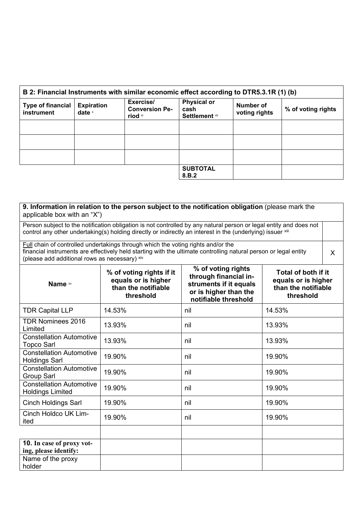| B 2: Financial Instruments with similar economic effect according to DTR5.3.1R (1) (b) |                               |                                               |                                                     |                                   |                    |
|----------------------------------------------------------------------------------------|-------------------------------|-----------------------------------------------|-----------------------------------------------------|-----------------------------------|--------------------|
| <b>Type of financial</b><br>instrument                                                 | <b>Expiration</b><br>date $x$ | Exercise/<br><b>Conversion Pe-</b><br>riod xi | <b>Physical or</b><br>cash<br><b>Settlement</b> xii | <b>Number of</b><br>voting rights | % of voting rights |
|                                                                                        |                               |                                               |                                                     |                                   |                    |
|                                                                                        |                               |                                               |                                                     |                                   |                    |
|                                                                                        |                               |                                               |                                                     |                                   |                    |
|                                                                                        |                               |                                               | <b>SUBTOTAL</b><br>8.B.2                            |                                   |                    |

| 9. Information in relation to the person subject to the notification obligation (please mark the<br>applicable box with an "X")                                                                                                                                                                            |        |     |        |  |
|------------------------------------------------------------------------------------------------------------------------------------------------------------------------------------------------------------------------------------------------------------------------------------------------------------|--------|-----|--------|--|
| Person subject to the notification obligation is not controlled by any natural person or legal entity and does not<br>control any other undertaking(s) holding directly or indirectly an interest in the (underlying) issuer xill                                                                          |        |     |        |  |
| Full chain of controlled undertakings through which the voting rights and/or the<br>financial instruments are effectively held starting with the ultimate controlling natural person or legal entity<br>$\sf X$<br>(please add additional rows as necessary) xiv                                           |        |     |        |  |
| % of voting rights<br>% of voting rights if it<br>Total of both if it<br>through financial in-<br>equals or is higher<br>equals or is higher<br>struments if it equals<br>Name xv<br>than the notifiable<br>than the notifiable<br>or is higher than the<br>threshold<br>threshold<br>notifiable threshold |        |     |        |  |
| <b>TDR Capital LLP</b>                                                                                                                                                                                                                                                                                     | 14.53% | nil | 14.53% |  |
| <b>TDR Nominees 2016</b><br>Limited                                                                                                                                                                                                                                                                        | 13.93% | nil | 13.93% |  |
| <b>Constellation Automotive</b><br><b>Topco Sarl</b>                                                                                                                                                                                                                                                       | 13.93% | nil | 13.93% |  |
| <b>Constellation Automotive</b><br><b>Holdings Sarl</b>                                                                                                                                                                                                                                                    | 19.90% | nil | 19.90% |  |
| <b>Constellation Automotive</b><br><b>Group Sarl</b>                                                                                                                                                                                                                                                       | 19.90% | nil | 19.90% |  |
| <b>Constellation Automotive</b><br><b>Holdings Limited</b>                                                                                                                                                                                                                                                 | 19.90% | nil | 19.90% |  |
| <b>Cinch Holdings Sarl</b>                                                                                                                                                                                                                                                                                 | 19.90% | nil | 19.90% |  |
| Cinch Holdco UK Lim-<br>ited                                                                                                                                                                                                                                                                               | 19.90% | nil | 19.90% |  |
|                                                                                                                                                                                                                                                                                                            |        |     |        |  |
| <b>10.</b> In case of proxy vot-<br>ing, please identify:                                                                                                                                                                                                                                                  |        |     |        |  |
| Name of the proxy<br>holder                                                                                                                                                                                                                                                                                |        |     |        |  |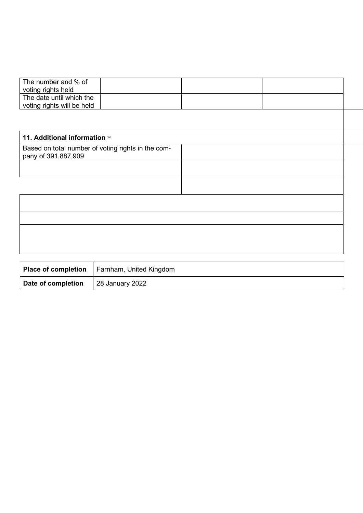| The number and % of            |  |  |
|--------------------------------|--|--|
| voting rights held             |  |  |
| The date until which the       |  |  |
| voting rights will be held     |  |  |
|                                |  |  |
|                                |  |  |
|                                |  |  |
| 11. Additional information xvi |  |  |
|                                |  |  |

| Based on total number of voting rights in the com-<br>pany of 391,887,909 |  |
|---------------------------------------------------------------------------|--|
|                                                                           |  |
|                                                                           |  |
|                                                                           |  |
|                                                                           |  |
|                                                                           |  |
|                                                                           |  |

|                    | <b>Place of completion</b>   Farnham, United Kingdom |
|--------------------|------------------------------------------------------|
| Date of completion | 28 January 2022                                      |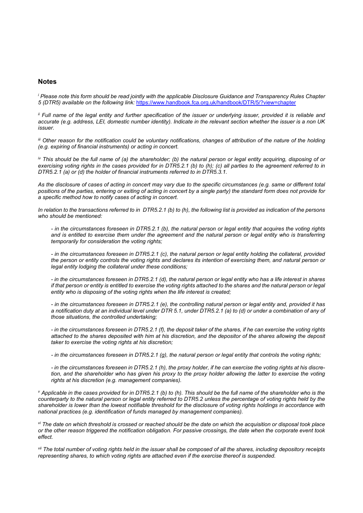## **Notes**

*<sup>i</sup> Please note this form should be read jointly with the applicable Disclosure Guidance and Transparency Rules Chapter 5 (DTR5) available on the following link:* <https://www.handbook.fca.org.uk/handbook/DTR/5/?view=chapter>

*ii* Full name of the legal entity and further specification of the issuer or underlying issuer, provided it is reliable and *accurate (e.g. address, LEI, domestic number identity). Indicate in the relevant section whether the issuer is a non UK issuer.*

*iii Other reason for the notification could be voluntary notifications, changes of attribution of the nature of the holding (e.g. expiring of financial instruments) or acting in concert.*

*iv This should be the full name of (a) the shareholder; (b) the natural person or legal entity acquiring, disposing of or exercising voting rights in the cases provided for in DTR5.2.1 (b) to (h); (c) all parties to the agreement referred to in DTR5.2.1 (a) or (d) the holder of financial instruments referred to in DTR5.3.1.*

*As the disclosure of cases of acting in concert may vary due to the specific circumstances (e.g. same or different total positions of the parties, entering or exiting of acting in concert by a single party) the standard form does not provide for a specific method how to notify cases of acting in concert.*

*In relation to the transactions referred to in DTR5.2.1 (b) to (h), the following list is provided as indication of the persons who should be mentioned:*

*- in the circumstances foreseen in DTR5.2.1 (b), the natural person or legal entity that acquires the voting rights and is entitled to exercise them under the agreement and the natural person or legal entity who is transferring temporarily for consideration the voting rights;*

*- in the circumstances foreseen in DTR5.2.1 (c), the natural person or legal entity holding the collateral, provided the person or entity controls the voting rights and declares its intention of exercising them, and natural person or legal entity lodging the collateral under these conditions;*

*- in the circumstances foreseen in DTR5.2.1 (d), the natural person or legal entity who has a life interest in shares if that person or entity is entitled to exercise the voting rights attached to the shares and the natural person or legal entity who is disposing of the voting rights when the life interest is created;*

*- in the circumstances foreseen in DTR5.2.1 (e), the controlling natural person or legal entity and, provided it has a notification duty at an individual level under DTR 5.1, under DTR5.2.1 (a) to (d) or under a combination of any of those situations, the controlled undertaking;*

*- in the circumstances foreseen in DTR5.2.1 (f), the deposit taker of the shares, if he can exercise the voting rights attached to the shares deposited with him at his discretion, and the depositor of the shares allowing the deposit taker to exercise the voting rights at his discretion;*

*- in the circumstances foreseen in DTR5.2.1 (g), the natural person or legal entity that controls the voting rights;*

*- in the circumstances foreseen in DTR5.2.1 (h), the proxy holder, if he can exercise the voting rights at his discretion, and the shareholder who has given his proxy to the proxy holder allowing the latter to exercise the voting rights at his discretion (e.g. management companies).*

*<sup>v</sup> Applicable in the cases provided for in DTR5.2.1 (b) to (h). This should be the full name of the shareholder who is the counterparty to the natural person or legal entity referred to DTR5.2 unless the percentage of voting rights held by the shareholder is lower than the lowest notifiable threshold for the disclosure of voting rights holdings in accordance with national practices (e.g. identification of funds managed by management companies).*

*vi The date on which threshold is crossed or reached should be the date on which the acquisition or disposal took place or the other reason triggered the notification obligation. For passive crossings, the date when the corporate event took effect.*

*vii The total number of voting rights held in the issuer shall be composed of all the shares, including depository receipts representing shares, to which voting rights are attached even if the exercise thereof is suspended.*